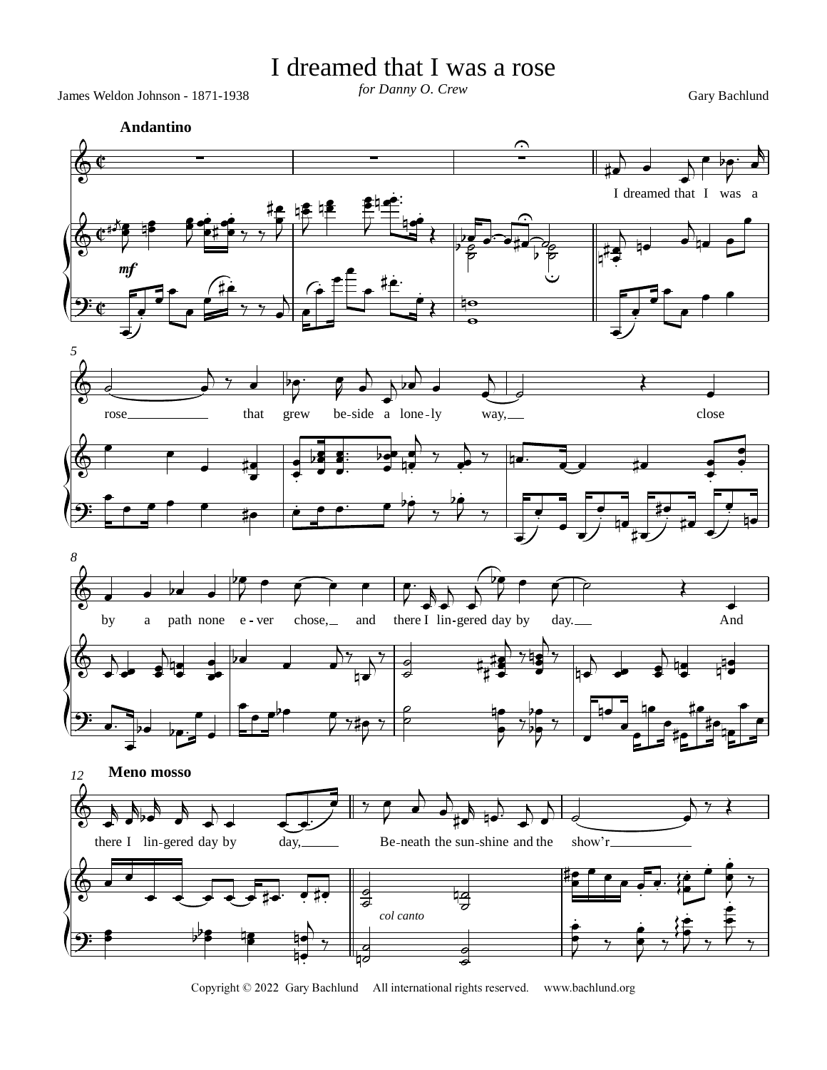## I dreamed that I was a rose

James Weldon Johnson - 1871-1938 *for Danny O. Crew* Gary Bachlund

*for Danny O. Crew*



Copyright © 2022 Gary Bachlund All international rights reserved. www.bachlund.org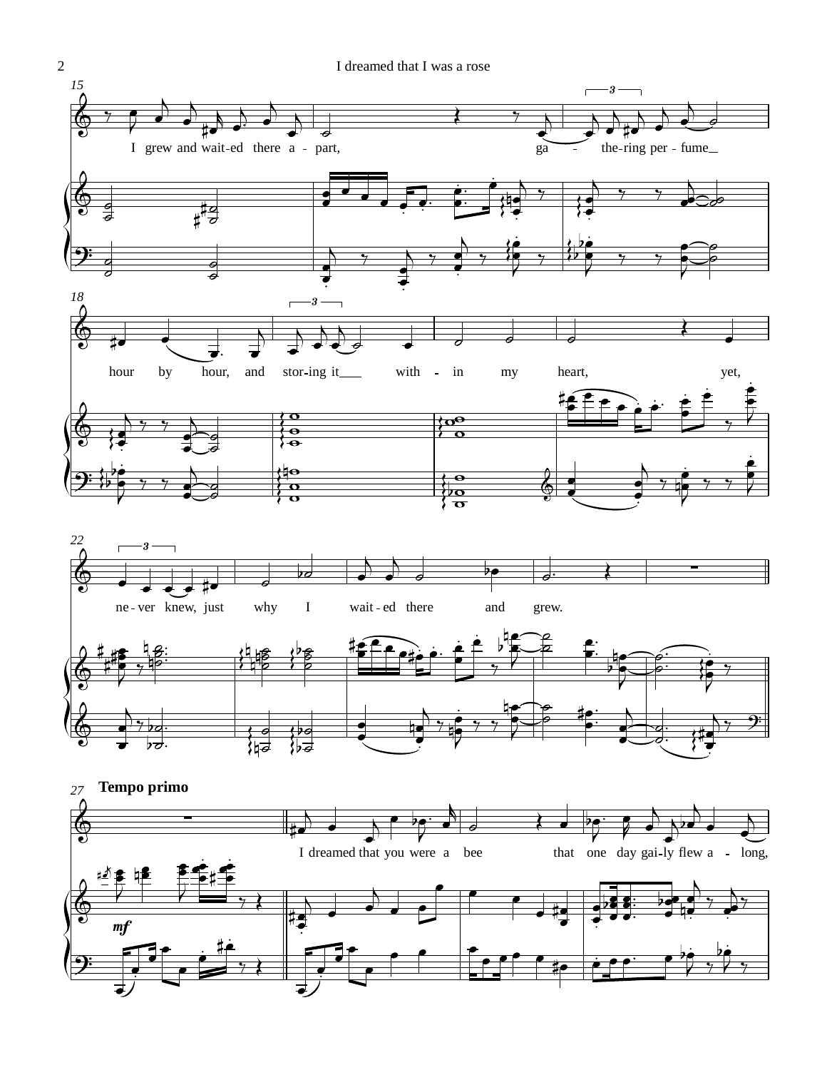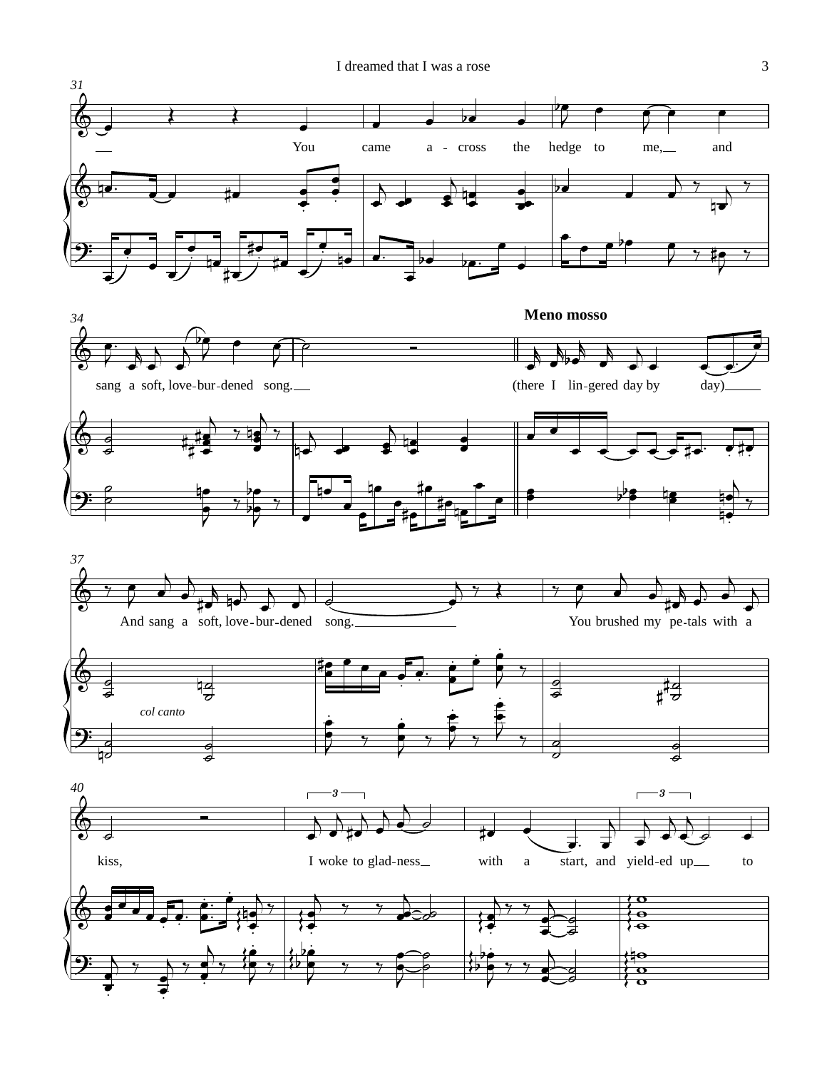I dreamed that I was a rose 3